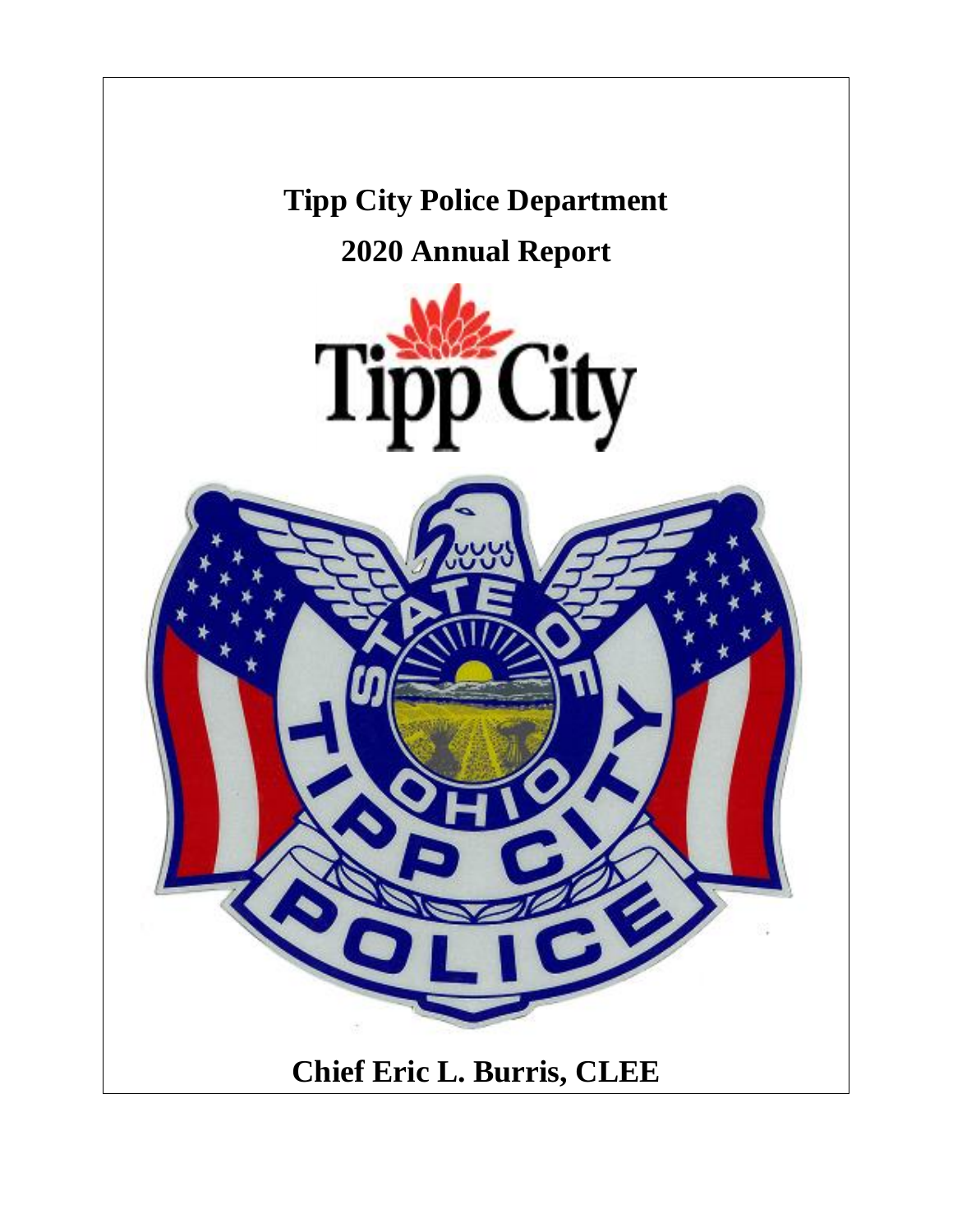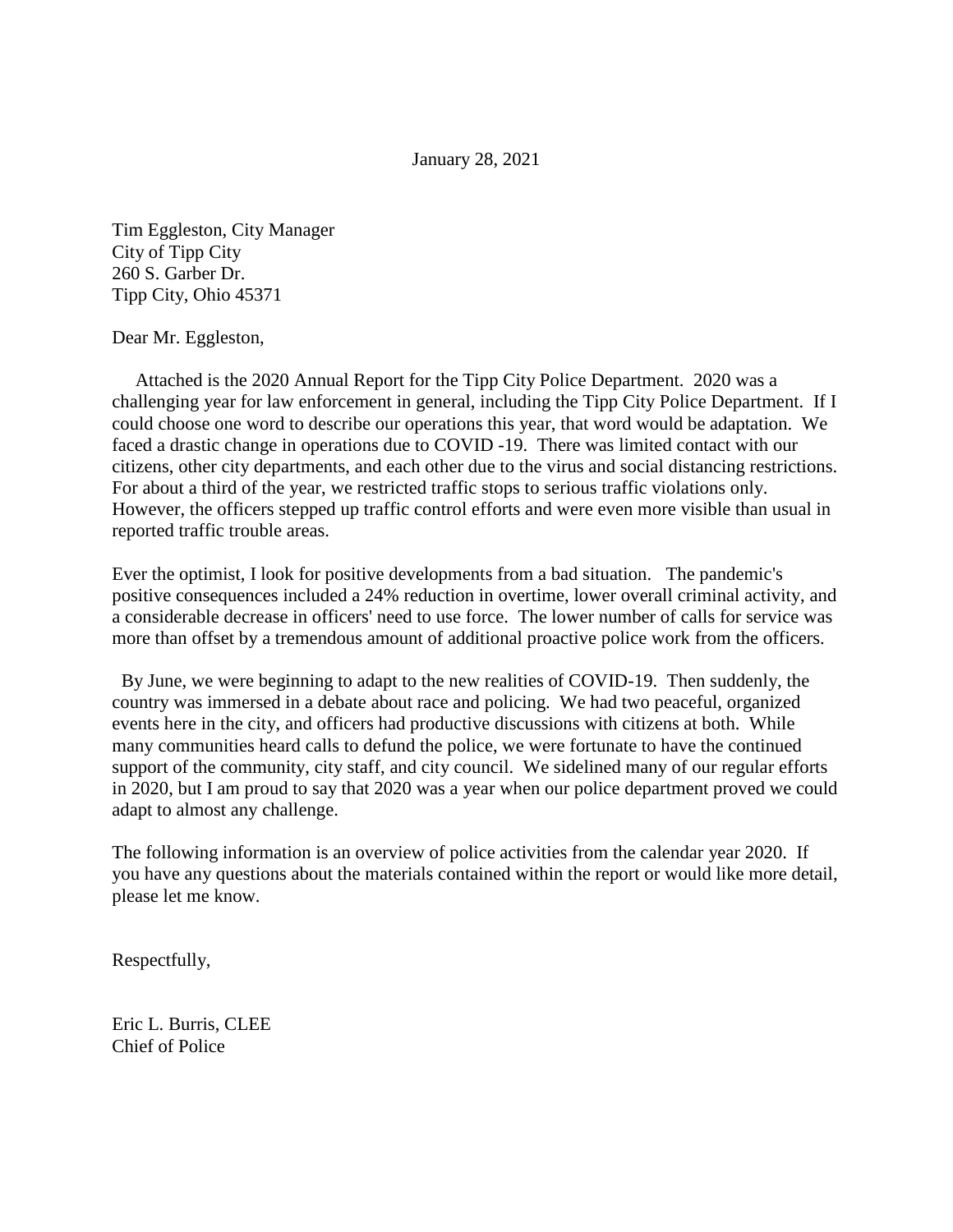January 28, 2021

Tim Eggleston, City Manager City of Tipp City 260 S. Garber Dr. Tipp City, Ohio 45371

Dear Mr. Eggleston,

 Attached is the 2020 Annual Report for the Tipp City Police Department. 2020 was a challenging year for law enforcement in general, including the Tipp City Police Department. If I could choose one word to describe our operations this year, that word would be adaptation. We faced a drastic change in operations due to COVID -19. There was limited contact with our citizens, other city departments, and each other due to the virus and social distancing restrictions. For about a third of the year, we restricted traffic stops to serious traffic violations only. However, the officers stepped up traffic control efforts and were even more visible than usual in reported traffic trouble areas.

Ever the optimist, I look for positive developments from a bad situation. The pandemic's positive consequences included a 24% reduction in overtime, lower overall criminal activity, and a considerable decrease in officers' need to use force. The lower number of calls for service was more than offset by a tremendous amount of additional proactive police work from the officers.

 By June, we were beginning to adapt to the new realities of COVID-19. Then suddenly, the country was immersed in a debate about race and policing. We had two peaceful, organized events here in the city, and officers had productive discussions with citizens at both. While many communities heard calls to defund the police, we were fortunate to have the continued support of the community, city staff, and city council. We sidelined many of our regular efforts in 2020, but I am proud to say that 2020 was a year when our police department proved we could adapt to almost any challenge.

The following information is an overview of police activities from the calendar year 2020. If you have any questions about the materials contained within the report or would like more detail, please let me know.

Respectfully,

Eric L. Burris, CLEE Chief of Police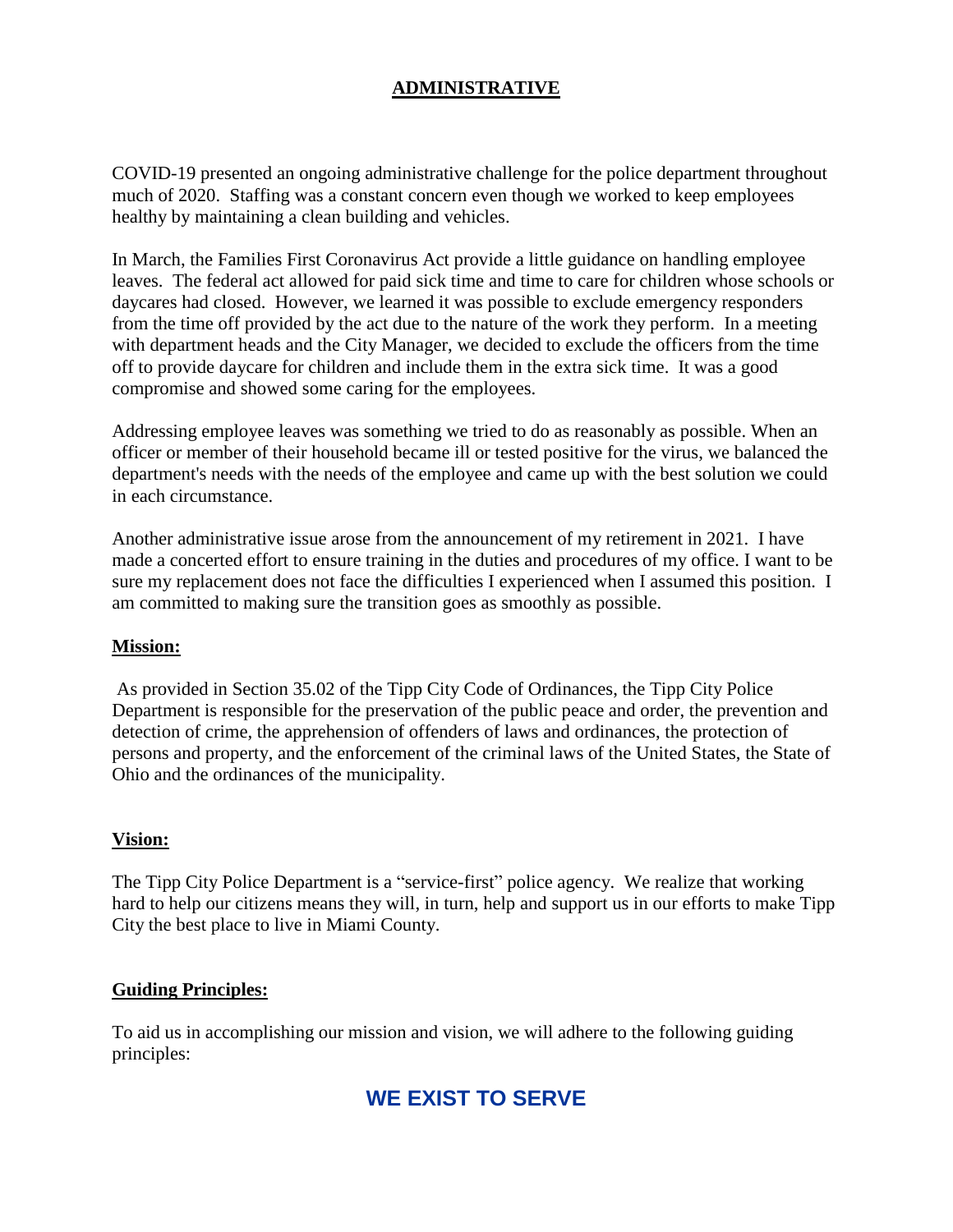#### **ADMINISTRATIVE**

COVID-19 presented an ongoing administrative challenge for the police department throughout much of 2020. Staffing was a constant concern even though we worked to keep employees healthy by maintaining a clean building and vehicles.

In March, the Families First Coronavirus Act provide a little guidance on handling employee leaves. The federal act allowed for paid sick time and time to care for children whose schools or daycares had closed. However, we learned it was possible to exclude emergency responders from the time off provided by the act due to the nature of the work they perform. In a meeting with department heads and the City Manager, we decided to exclude the officers from the time off to provide daycare for children and include them in the extra sick time. It was a good compromise and showed some caring for the employees.

Addressing employee leaves was something we tried to do as reasonably as possible. When an officer or member of their household became ill or tested positive for the virus, we balanced the department's needs with the needs of the employee and came up with the best solution we could in each circumstance.

Another administrative issue arose from the announcement of my retirement in 2021. I have made a concerted effort to ensure training in the duties and procedures of my office. I want to be sure my replacement does not face the difficulties I experienced when I assumed this position. I am committed to making sure the transition goes as smoothly as possible.

#### **Mission:**

As provided in Section 35.02 of the Tipp City Code of Ordinances, the Tipp City Police Department is responsible for the preservation of the public peace and order, the prevention and detection of crime, the apprehension of offenders of laws and ordinances, the protection of persons and property, and the enforcement of the criminal laws of the United States, the State of Ohio and the ordinances of the municipality.

#### **Vision:**

The Tipp City Police Department is a "service-first" police agency. We realize that working hard to help our citizens means they will, in turn, help and support us in our efforts to make Tipp City the best place to live in Miami County.

#### **Guiding Principles:**

To aid us in accomplishing our mission and vision, we will adhere to the following guiding principles:

## **WE EXIST TO SERVE**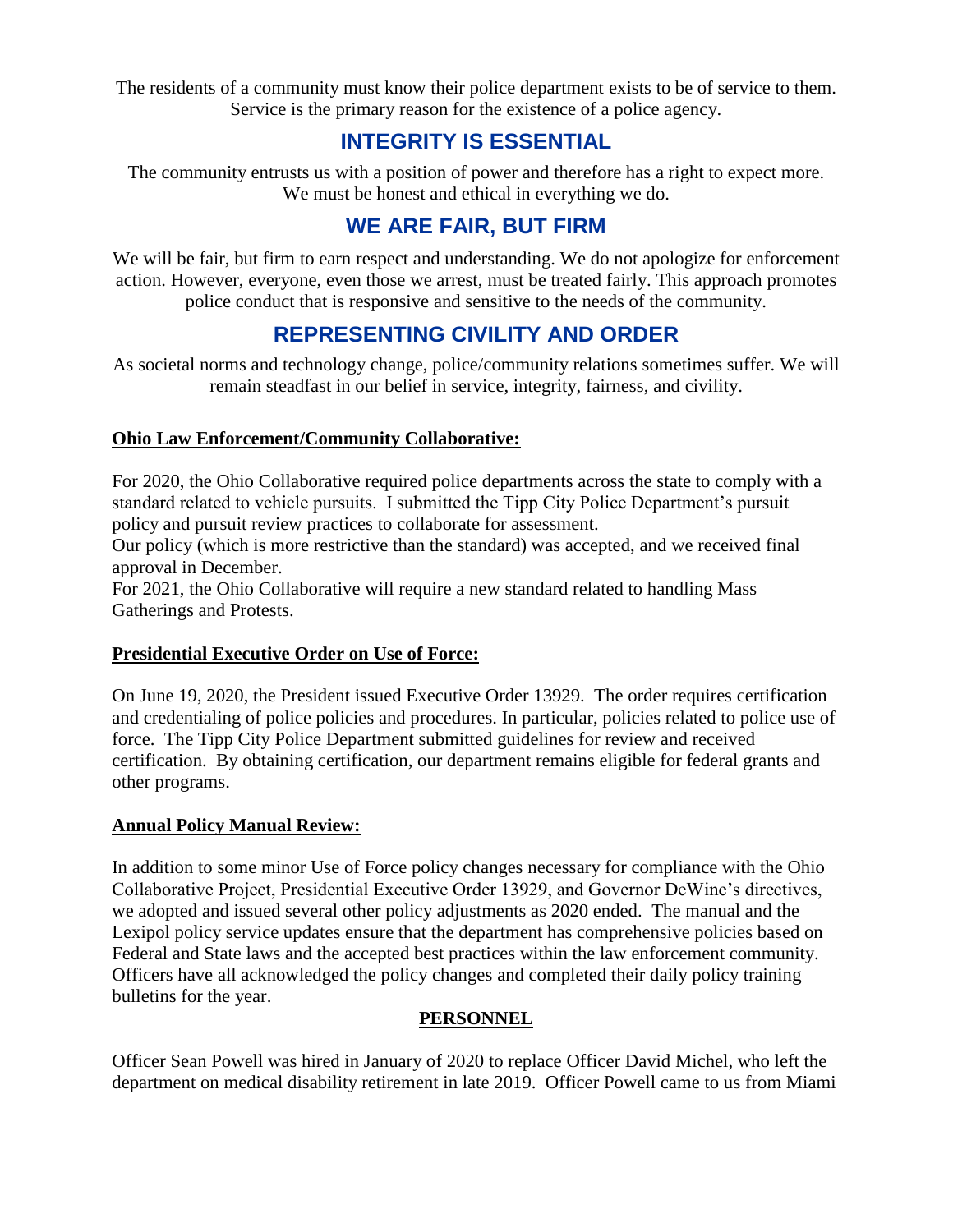The residents of a community must know their police department exists to be of service to them. Service is the primary reason for the existence of a police agency.

## **INTEGRITY IS ESSENTIAL**

The community entrusts us with a position of power and therefore has a right to expect more. We must be honest and ethical in everything we do.

## **WE ARE FAIR, BUT FIRM**

We will be fair, but firm to earn respect and understanding. We do not apologize for enforcement action. However, everyone, even those we arrest, must be treated fairly. This approach promotes police conduct that is responsive and sensitive to the needs of the community.

## **REPRESENTING CIVILITY AND ORDER**

As societal norms and technology change, police/community relations sometimes suffer. We will remain steadfast in our belief in service, integrity, fairness, and civility.

#### **Ohio Law Enforcement/Community Collaborative:**

For 2020, the Ohio Collaborative required police departments across the state to comply with a standard related to vehicle pursuits. I submitted the Tipp City Police Department's pursuit policy and pursuit review practices to collaborate for assessment.

Our policy (which is more restrictive than the standard) was accepted, and we received final approval in December.

For 2021, the Ohio Collaborative will require a new standard related to handling Mass Gatherings and Protests.

#### **Presidential Executive Order on Use of Force:**

On June 19, 2020, the President issued Executive Order 13929. The order requires certification and credentialing of police policies and procedures. In particular, policies related to police use of force. The Tipp City Police Department submitted guidelines for review and received certification. By obtaining certification, our department remains eligible for federal grants and other programs.

#### **Annual Policy Manual Review:**

In addition to some minor Use of Force policy changes necessary for compliance with the Ohio Collaborative Project, Presidential Executive Order 13929, and Governor DeWine's directives, we adopted and issued several other policy adjustments as 2020 ended. The manual and the Lexipol policy service updates ensure that the department has comprehensive policies based on Federal and State laws and the accepted best practices within the law enforcement community. Officers have all acknowledged the policy changes and completed their daily policy training bulletins for the year.

#### **PERSONNEL**

Officer Sean Powell was hired in January of 2020 to replace Officer David Michel, who left the department on medical disability retirement in late 2019. Officer Powell came to us from Miami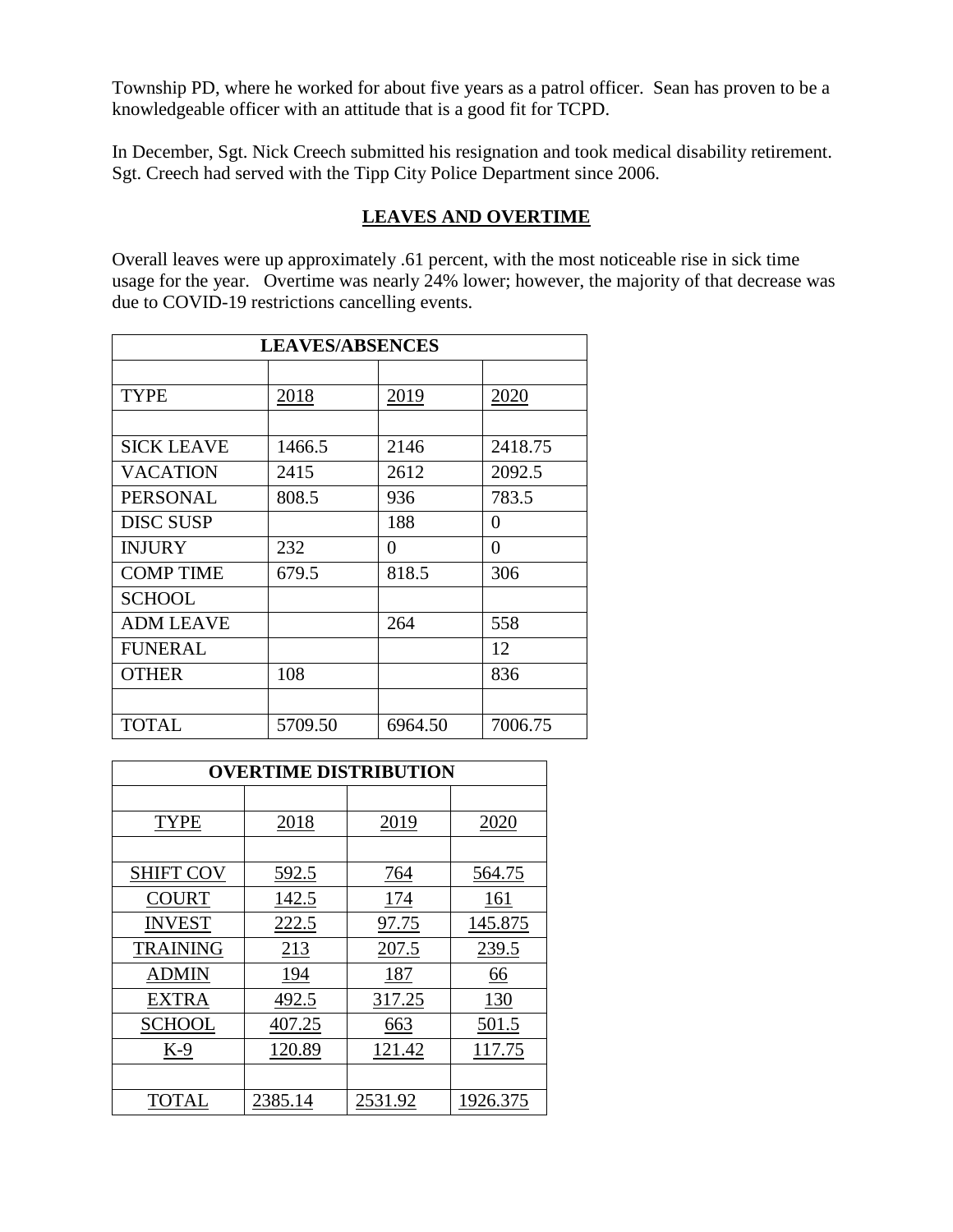Township PD, where he worked for about five years as a patrol officer. Sean has proven to be a knowledgeable officer with an attitude that is a good fit for TCPD.

In December, Sgt. Nick Creech submitted his resignation and took medical disability retirement. Sgt. Creech had served with the Tipp City Police Department since 2006.

#### **LEAVES AND OVERTIME**

Overall leaves were up approximately .61 percent, with the most noticeable rise in sick time usage for the year. Overtime was nearly 24% lower; however, the majority of that decrease was due to COVID-19 restrictions cancelling events.

| <b>LEAVES/ABSENCES</b> |         |         |         |
|------------------------|---------|---------|---------|
|                        |         |         |         |
| <b>TYPE</b>            | 2018    | 2019    | 2020    |
|                        |         |         |         |
| <b>SICK LEAVE</b>      | 1466.5  | 2146    | 2418.75 |
| <b>VACATION</b>        | 2415    | 2612    | 2092.5  |
| <b>PERSONAL</b>        | 808.5   | 936     | 783.5   |
| <b>DISC SUSP</b>       |         | 188     | 0       |
| <b>INJURY</b>          | 232     | 0       | 0       |
| <b>COMP TIME</b>       | 679.5   | 818.5   | 306     |
| SCHOOL                 |         |         |         |
| <b>ADM LEAVE</b>       |         | 264     | 558     |
| <b>FUNERAL</b>         |         |         | 12      |
| <b>OTHER</b>           | 108     |         | 836     |
|                        |         |         |         |
| <b>TOTAL</b>           | 5709.50 | 6964.50 | 7006.75 |

| <b>OVERTIME DISTRIBUTION</b> |         |         |          |
|------------------------------|---------|---------|----------|
|                              |         |         |          |
| <b>TYPE</b>                  | 2018    | 2019    | 2020     |
|                              |         |         |          |
| <b>SHIFT COV</b>             | 592.5   | 764     | 564.75   |
| <b>COURT</b>                 | 142.5   | 174     | 161      |
| <b>INVEST</b>                | 222.5   | 97.75   | 145.875  |
| <b>TRAINING</b>              | 213     | 207.5   | 239.5    |
| ADMIN                        | 194     | 187     | 66       |
| EXTRA                        | 492.5   | 317.25  | 130      |
| <b>SCHOOL</b>                | 407.25  | 663     | 501.5    |
| K-9                          | 120.89  | 121.42  | 117.75   |
|                              |         |         |          |
| <b>TOTAL</b>                 | 2385.14 | 2531.92 | 1926.375 |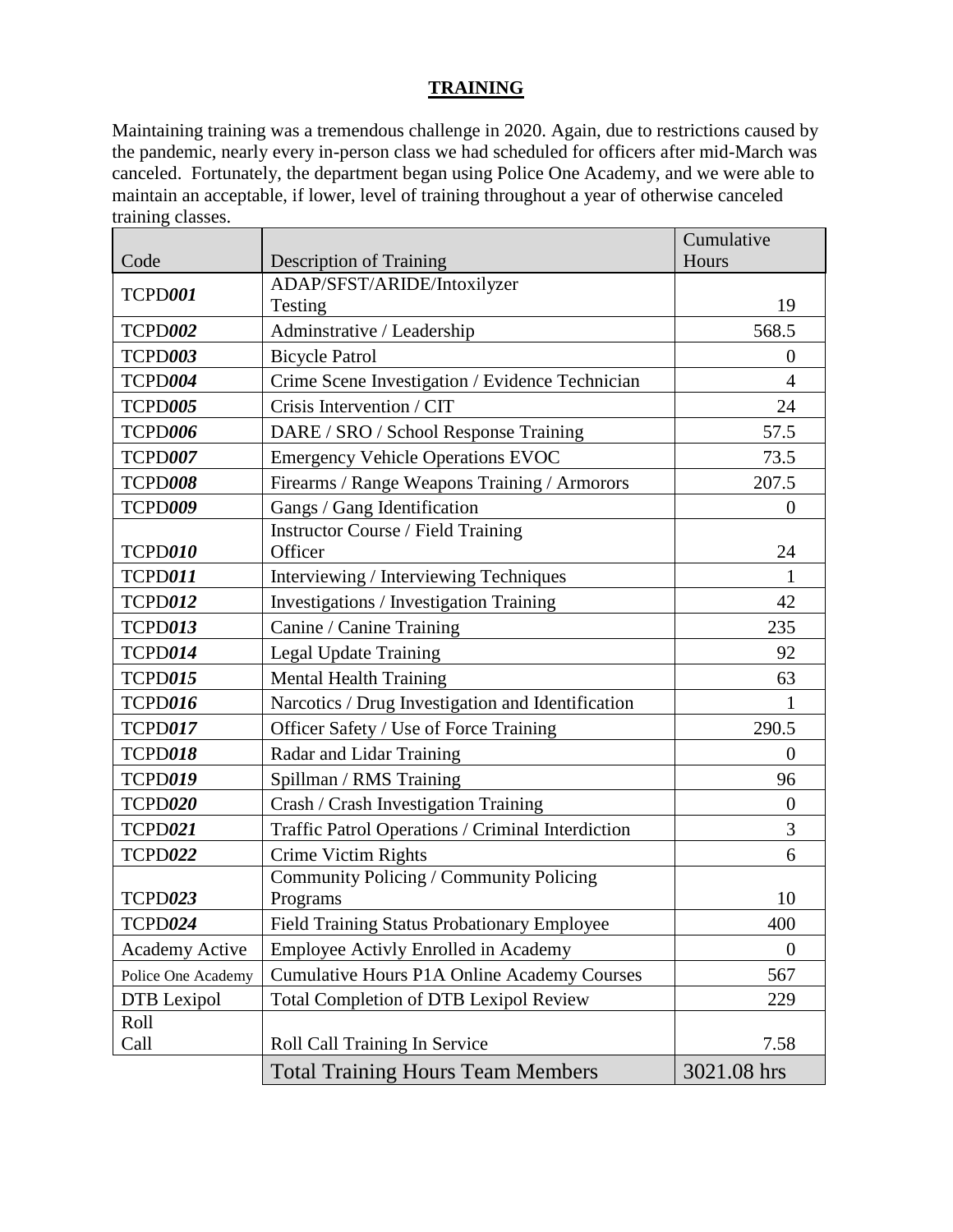#### **TRAINING**

Maintaining training was a tremendous challenge in 2020. Again, due to restrictions caused by the pandemic, nearly every in-person class we had scheduled for officers after mid-March was canceled. Fortunately, the department began using Police One Academy, and we were able to maintain an acceptable, if lower, level of training throughout a year of otherwise canceled training classes.

|                       |                                                    | Cumulative     |
|-----------------------|----------------------------------------------------|----------------|
| Code                  | <b>Description of Training</b>                     | Hours          |
| TCPD001               | ADAP/SFST/ARIDE/Intoxilyzer                        |                |
|                       | Testing                                            | 19             |
| <b>TCPD002</b>        | Adminstrative / Leadership                         | 568.5          |
| TCPD003               | <b>Bicycle Patrol</b>                              | $\Omega$       |
| TCPD004               | Crime Scene Investigation / Evidence Technician    | $\overline{4}$ |
| TCPD005               | Crisis Intervention / CIT                          | 24             |
| TCPD006               | DARE / SRO / School Response Training              | 57.5           |
| TCPD007               | <b>Emergency Vehicle Operations EVOC</b>           | 73.5           |
| TCPD008               | Firearms / Range Weapons Training / Armorors       | 207.5          |
| TCPD009               | Gangs / Gang Identification                        | $\overline{0}$ |
|                       | <b>Instructor Course / Field Training</b>          |                |
| TCPD010               | Officer                                            | 24             |
| TCPD011               | Interviewing / Interviewing Techniques             | 1              |
| <b>TCPD012</b>        | Investigations / Investigation Training            | 42             |
| TCPD013               | Canine / Canine Training                           | 235            |
| TCPD014               | Legal Update Training                              | 92             |
| TCPD015               | <b>Mental Health Training</b>                      | 63             |
| TCPD016               | Narcotics / Drug Investigation and Identification  | 1              |
| <b>TCPD017</b>        | Officer Safety / Use of Force Training             | 290.5          |
| <b>TCPD018</b>        | Radar and Lidar Training                           | $\overline{0}$ |
| TCPD019               | Spillman / RMS Training                            | 96             |
| TCPD020               | Crash / Crash Investigation Training               | $\theta$       |
| TCPD021               | Traffic Patrol Operations / Criminal Interdiction  | 3              |
| TCPD022               | Crime Victim Rights                                | 6              |
|                       | Community Policing / Community Policing            |                |
| TCPD023               | Programs                                           | 10             |
| TCPD024               | <b>Field Training Status Probationary Employee</b> | 400            |
| <b>Academy Active</b> | Employee Activly Enrolled in Academy               | $\theta$       |
| Police One Academy    | <b>Cumulative Hours P1A Online Academy Courses</b> | 567            |
| DTB Lexipol           | <b>Total Completion of DTB Lexipol Review</b>      | 229            |
| Roll                  |                                                    |                |
| Call                  | Roll Call Training In Service                      | 7.58           |
|                       | <b>Total Training Hours Team Members</b>           | 3021.08 hrs    |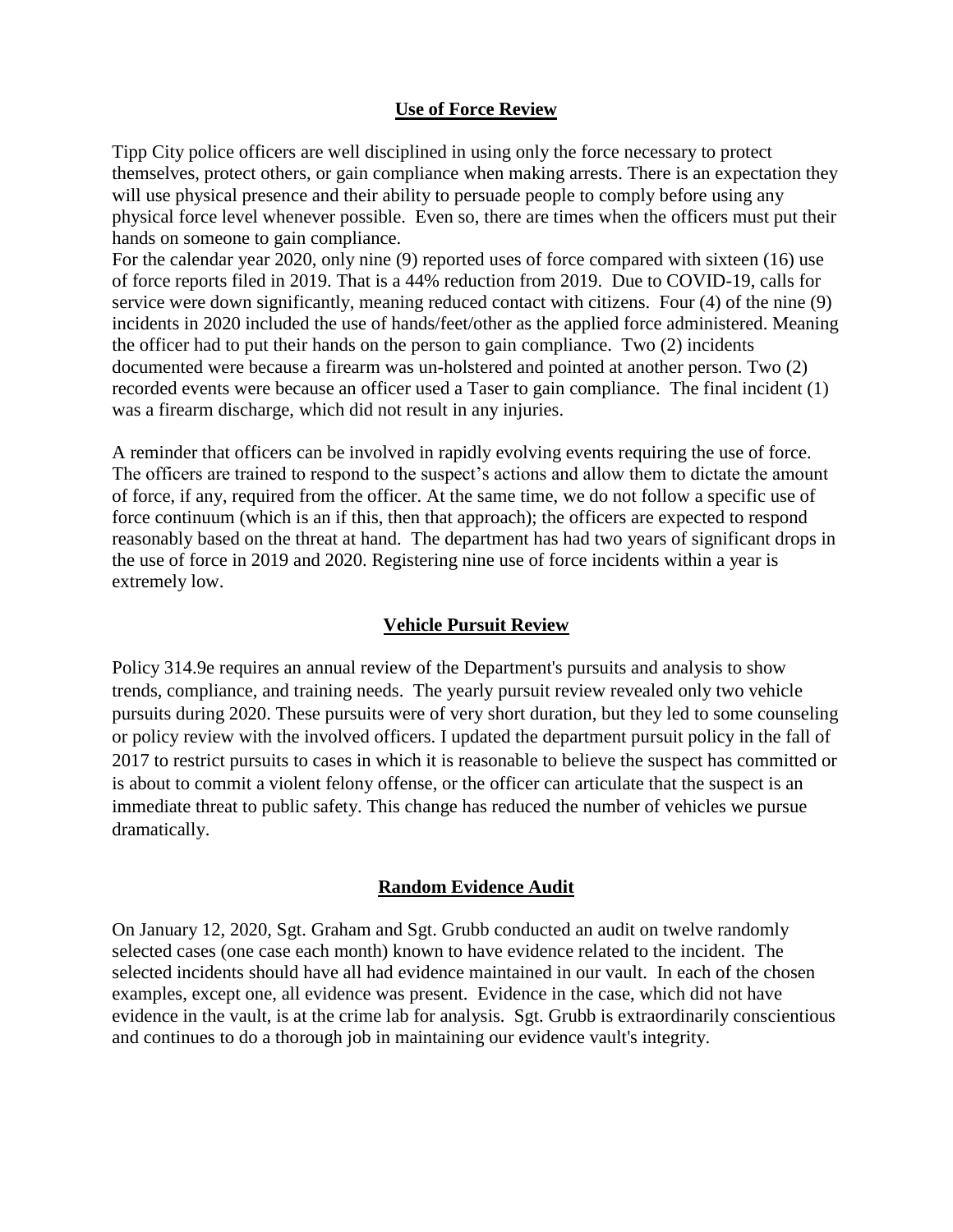#### **Use of Force Review**

Tipp City police officers are well disciplined in using only the force necessary to protect themselves, protect others, or gain compliance when making arrests. There is an expectation they will use physical presence and their ability to persuade people to comply before using any physical force level whenever possible. Even so, there are times when the officers must put their hands on someone to gain compliance.

For the calendar year 2020, only nine (9) reported uses of force compared with sixteen (16) use of force reports filed in 2019. That is a 44% reduction from 2019. Due to COVID-19, calls for service were down significantly, meaning reduced contact with citizens. Four (4) of the nine (9) incidents in 2020 included the use of hands/feet/other as the applied force administered. Meaning the officer had to put their hands on the person to gain compliance. Two (2) incidents documented were because a firearm was un-holstered and pointed at another person. Two (2) recorded events were because an officer used a Taser to gain compliance. The final incident (1) was a firearm discharge, which did not result in any injuries.

A reminder that officers can be involved in rapidly evolving events requiring the use of force. The officers are trained to respond to the suspect's actions and allow them to dictate the amount of force, if any, required from the officer. At the same time, we do not follow a specific use of force continuum (which is an if this, then that approach); the officers are expected to respond reasonably based on the threat at hand. The department has had two years of significant drops in the use of force in 2019 and 2020. Registering nine use of force incidents within a year is extremely low.

#### **Vehicle Pursuit Review**

Policy 314.9e requires an annual review of the Department's pursuits and analysis to show trends, compliance, and training needs. The yearly pursuit review revealed only two vehicle pursuits during 2020. These pursuits were of very short duration, but they led to some counseling or policy review with the involved officers. I updated the department pursuit policy in the fall of 2017 to restrict pursuits to cases in which it is reasonable to believe the suspect has committed or is about to commit a violent felony offense, or the officer can articulate that the suspect is an immediate threat to public safety. This change has reduced the number of vehicles we pursue dramatically.

#### **Random Evidence Audit**

On January 12, 2020, Sgt. Graham and Sgt. Grubb conducted an audit on twelve randomly selected cases (one case each month) known to have evidence related to the incident. The selected incidents should have all had evidence maintained in our vault. In each of the chosen examples, except one, all evidence was present. Evidence in the case, which did not have evidence in the vault, is at the crime lab for analysis. Sgt. Grubb is extraordinarily conscientious and continues to do a thorough job in maintaining our evidence vault's integrity.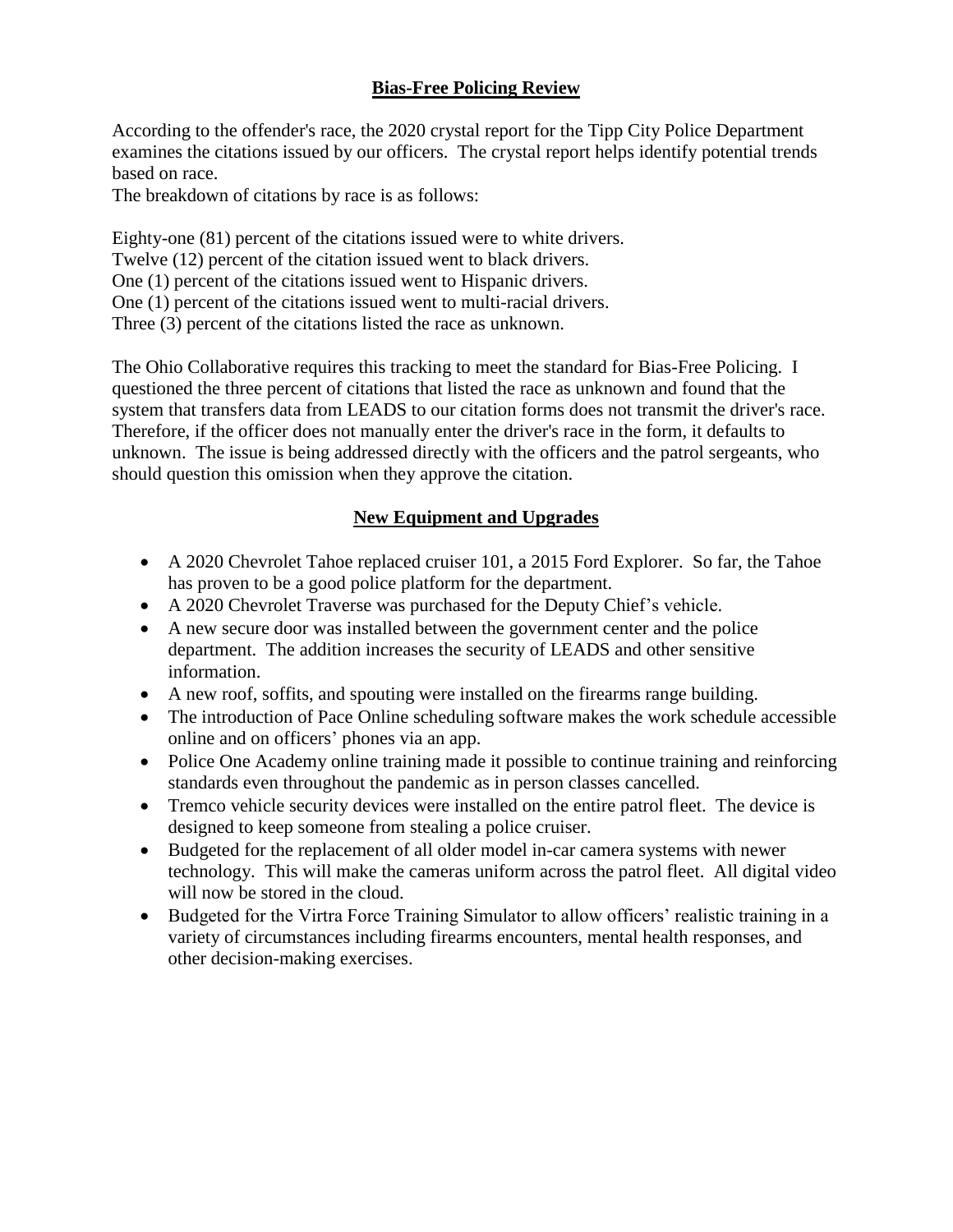#### **Bias-Free Policing Review**

According to the offender's race, the 2020 crystal report for the Tipp City Police Department examines the citations issued by our officers. The crystal report helps identify potential trends based on race.

The breakdown of citations by race is as follows:

Eighty-one (81) percent of the citations issued were to white drivers. Twelve (12) percent of the citation issued went to black drivers. One (1) percent of the citations issued went to Hispanic drivers. One (1) percent of the citations issued went to multi-racial drivers. Three (3) percent of the citations listed the race as unknown.

The Ohio Collaborative requires this tracking to meet the standard for Bias-Free Policing. I questioned the three percent of citations that listed the race as unknown and found that the system that transfers data from LEADS to our citation forms does not transmit the driver's race. Therefore, if the officer does not manually enter the driver's race in the form, it defaults to unknown. The issue is being addressed directly with the officers and the patrol sergeants, who should question this omission when they approve the citation.

#### **New Equipment and Upgrades**

- A 2020 Chevrolet Tahoe replaced cruiser 101, a 2015 Ford Explorer. So far, the Tahoe has proven to be a good police platform for the department.
- A 2020 Chevrolet Traverse was purchased for the Deputy Chief's vehicle.
- A new secure door was installed between the government center and the police department. The addition increases the security of LEADS and other sensitive information.
- A new roof, soffits, and spouting were installed on the firearms range building.
- The introduction of Pace Online scheduling software makes the work schedule accessible online and on officers' phones via an app.
- Police One Academy online training made it possible to continue training and reinforcing standards even throughout the pandemic as in person classes cancelled.
- Tremco vehicle security devices were installed on the entire patrol fleet. The device is designed to keep someone from stealing a police cruiser.
- Budgeted for the replacement of all older model in-car camera systems with newer technology. This will make the cameras uniform across the patrol fleet. All digital video will now be stored in the cloud.
- Budgeted for the Virtra Force Training Simulator to allow officers' realistic training in a variety of circumstances including firearms encounters, mental health responses, and other decision-making exercises.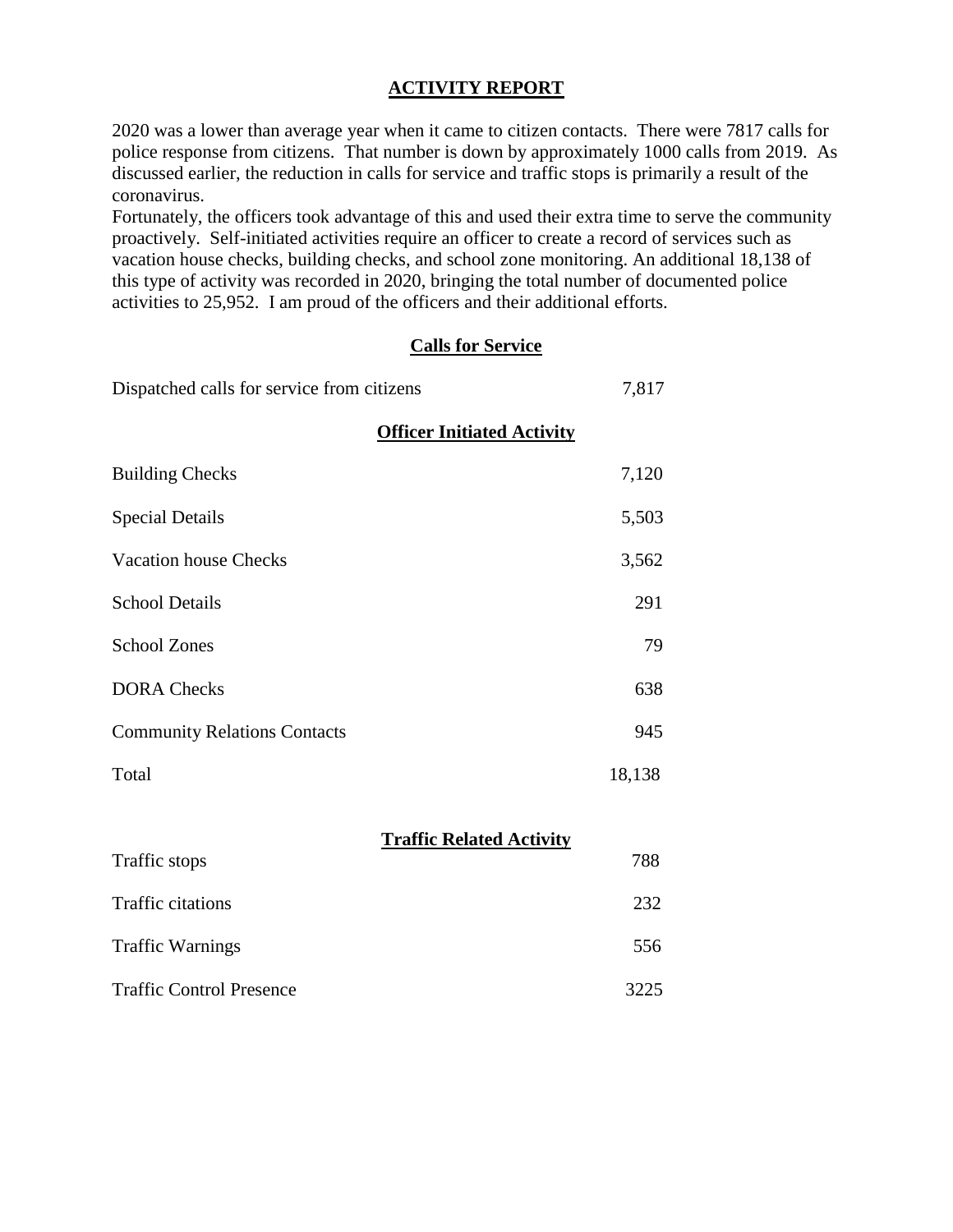#### **ACTIVITY REPORT**

2020 was a lower than average year when it came to citizen contacts. There were 7817 calls for police response from citizens. That number is down by approximately 1000 calls from 2019. As discussed earlier, the reduction in calls for service and traffic stops is primarily a result of the coronavirus.

Fortunately, the officers took advantage of this and used their extra time to serve the community proactively. Self-initiated activities require an officer to create a record of services such as vacation house checks, building checks, and school zone monitoring. An additional 18,138 of this type of activity was recorded in 2020, bringing the total number of documented police activities to 25,952. I am proud of the officers and their additional efforts.

#### **Calls for Service**

| Dispatched calls for service from citizens |                                   | 7,817  |
|--------------------------------------------|-----------------------------------|--------|
|                                            | <b>Officer Initiated Activity</b> |        |
| <b>Building Checks</b>                     |                                   | 7,120  |
| <b>Special Details</b>                     |                                   | 5,503  |
| <b>Vacation house Checks</b>               |                                   | 3,562  |
| <b>School Details</b>                      |                                   | 291    |
| <b>School Zones</b>                        |                                   | 79     |
| <b>DORA</b> Checks                         |                                   | 638    |
| <b>Community Relations Contacts</b>        |                                   | 945    |
| Total                                      |                                   | 18,138 |
|                                            |                                   |        |
| Traffic stops                              | <b>Traffic Related Activity</b>   | 788    |
| Traffic citations                          |                                   | 232    |

Traffic Control Presence 3225

Traffic Warnings 556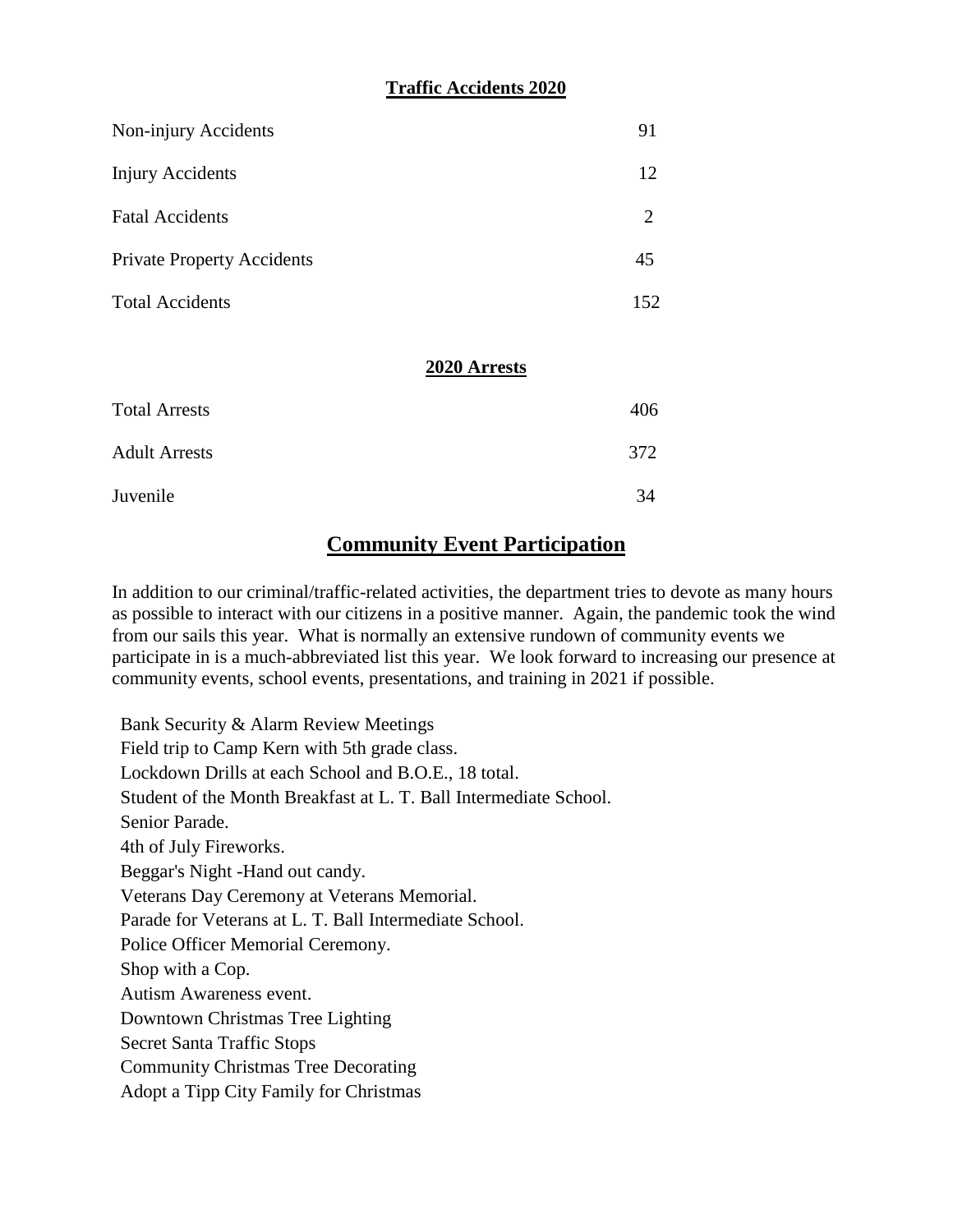#### **Traffic Accidents 2020**

| Non-injury Accidents              |              | 91  |
|-----------------------------------|--------------|-----|
| <b>Injury Accidents</b>           |              | 12  |
| <b>Fatal Accidents</b>            |              | 2   |
| <b>Private Property Accidents</b> |              | 45  |
| <b>Total Accidents</b>            |              | 152 |
|                                   | 2020 Arrests |     |

| <b>Total Arrests</b> | 406 |
|----------------------|-----|
| <b>Adult Arrests</b> | 372 |
| Juvenile             | 34  |

### **Community Event Participation**

In addition to our criminal/traffic-related activities, the department tries to devote as many hours as possible to interact with our citizens in a positive manner. Again, the pandemic took the wind from our sails this year. What is normally an extensive rundown of community events we participate in is a much-abbreviated list this year. We look forward to increasing our presence at community events, school events, presentations, and training in 2021 if possible.

Bank Security & Alarm Review Meetings Field trip to Camp Kern with 5th grade class. Lockdown Drills at each School and B.O.E., 18 total. Student of the Month Breakfast at L. T. Ball Intermediate School. Senior Parade. 4th of July Fireworks. Beggar's Night -Hand out candy. Veterans Day Ceremony at Veterans Memorial. Parade for Veterans at L. T. Ball Intermediate School. Police Officer Memorial Ceremony. Shop with a Cop. Autism Awareness event. Downtown Christmas Tree Lighting Secret Santa Traffic Stops Community Christmas Tree Decorating Adopt a Tipp City Family for Christmas